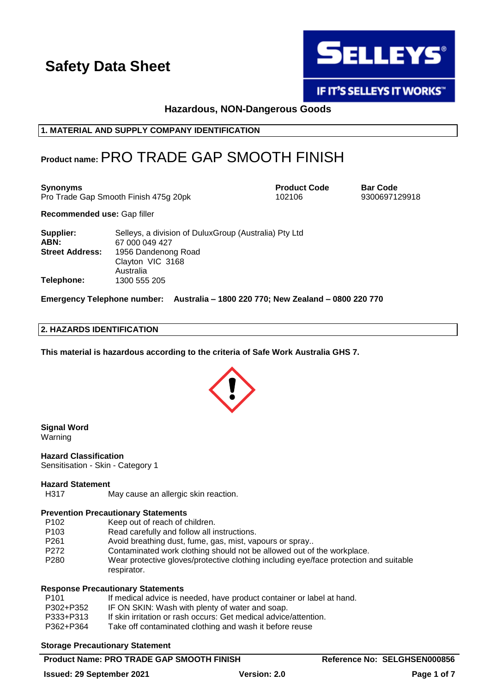

**IF IT'S SELLEYS IT WORKS"** 

# **Hazardous, NON-Dangerous Goods**

# **1. MATERIAL AND SUPPLY COMPANY IDENTIFICATION**

# **Product name:**PRO TRADE GAP SMOOTH FINISH

**Synonyms**<br> **Product Code Bar Code**<br> **Pro Trade Gap Smooth Finish 475g 20pk**<br> **Pro Trade Gap Smooth Finish 475g 20pk**<br> **Product Code Bar Code Barrows** Pro Trade Gap Smooth Finish 475g 20pk 102106

**Recommended use:** Gap filler

| Supplier:              | Selleys, a division of Dulux Group (Australia) Pty Ltd |
|------------------------|--------------------------------------------------------|
| ABN:                   | 67 000 049 427                                         |
| <b>Street Address:</b> | 1956 Dandenong Road                                    |
|                        | Clayton VIC 3168                                       |
|                        | Australia                                              |
| Telephone:             | 1300 555 205                                           |

**Emergency Telephone number: Australia – 1800 220 770; New Zealand – 0800 220 770**

## **2. HAZARDS IDENTIFICATION**

**This material is hazardous according to the criteria of Safe Work Australia GHS 7.**



**Signal Word** Warning

**Hazard Classification** Sensitisation - Skin - Category 1

#### **Hazard Statement**

H317 May cause an allergic skin reaction.

#### **Prevention Precautionary Statements**

- P102 Keep out of reach of children.
- P103 Read carefully and follow all instructions.
- P261 Avoid breathing dust, fume, gas, mist, vapours or spray...<br>P272 Contaminated work clothing should not be allowed out of
- Contaminated work clothing should not be allowed out of the workplace.
- P280 Wear protective gloves/protective clothing including eye/face protection and suitable respirator.

#### **Response Precautionary Statements**

| P <sub>101</sub> | If medical advice is needed, have product container or label at hand. |
|------------------|-----------------------------------------------------------------------|
| P302+P352        | IF ON SKIN: Wash with plenty of water and soap.                       |
| P333+P313        | If skin irritation or rash occurs: Get medical advice/attention.      |
| P362+P364        | Take off contaminated clothing and wash it before reuse               |
|                  |                                                                       |

#### **Storage Precautionary Statement**

# **Product Name: PRO TRADE GAP SMOOTH FINISH Reference No: SELGHSEN000856**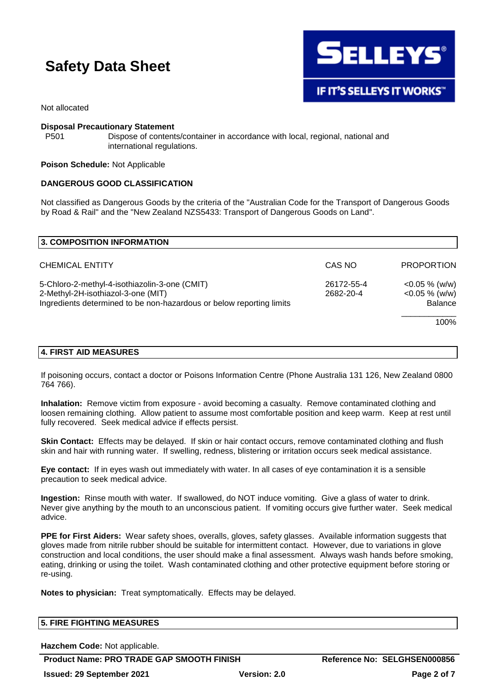

Not allocated

#### **Disposal Precautionary Statement**

P501 Dispose of contents/container in accordance with local, regional, national and international regulations.

#### **Poison Schedule:** Not Applicable

#### **DANGEROUS GOOD CLASSIFICATION**

Not classified as Dangerous Goods by the criteria of the "Australian Code for the Transport of Dangerous Goods by Road & Rail" and the "New Zealand NZS5433: Transport of Dangerous Goods on Land".

| <b>3. COMPOSITION INFORMATION</b>                                                                                                                                                      |        |                                                        |
|----------------------------------------------------------------------------------------------------------------------------------------------------------------------------------------|--------|--------------------------------------------------------|
| <b>CHEMICAL ENTITY</b>                                                                                                                                                                 | CAS NO | <b>PROPORTION</b>                                      |
| 5-Chloro-2-methyl-4-isothiazolin-3-one (CMIT)<br>26172-55-4<br>2-Methyl-2H-isothiazol-3-one (MIT)<br>2682-20-4<br>Ingredients determined to be non-hazardous or below reporting limits |        | $<$ 0.05 % (w/w)<br>$<$ 0.05 % (w/w)<br><b>Balance</b> |
|                                                                                                                                                                                        |        | 100%                                                   |

#### **4. FIRST AID MEASURES**

If poisoning occurs, contact a doctor or Poisons Information Centre (Phone Australia 131 126, New Zealand 0800 764 766).

**Inhalation:** Remove victim from exposure - avoid becoming a casualty. Remove contaminated clothing and loosen remaining clothing. Allow patient to assume most comfortable position and keep warm. Keep at rest until fully recovered. Seek medical advice if effects persist.

**Skin Contact:** Effects may be delayed. If skin or hair contact occurs, remove contaminated clothing and flush skin and hair with running water. If swelling, redness, blistering or irritation occurs seek medical assistance.

**Eye contact:** If in eyes wash out immediately with water. In all cases of eye contamination it is a sensible precaution to seek medical advice.

**Ingestion:** Rinse mouth with water. If swallowed, do NOT induce vomiting. Give a glass of water to drink. Never give anything by the mouth to an unconscious patient. If vomiting occurs give further water. Seek medical advice.

**PPE for First Aiders:** Wear safety shoes, overalls, gloves, safety glasses. Available information suggests that gloves made from nitrile rubber should be suitable for intermittent contact. However, due to variations in glove construction and local conditions, the user should make a final assessment. Always wash hands before smoking, eating, drinking or using the toilet. Wash contaminated clothing and other protective equipment before storing or re-using.

**Notes to physician:** Treat symptomatically. Effects may be delayed.

| <b>5. FIRE FIGHTING MEASURES</b> |  |
|----------------------------------|--|
|                                  |  |

**Hazchem Code:** Not applicable.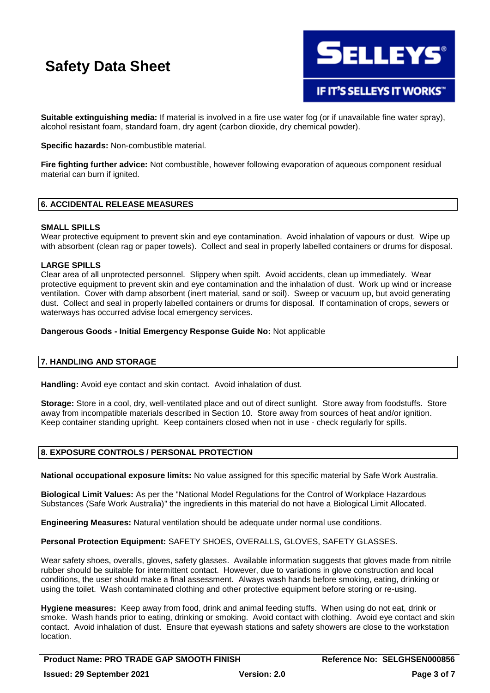

**Suitable extinguishing media:** If material is involved in a fire use water fog (or if unavailable fine water spray), alcohol resistant foam, standard foam, dry agent (carbon dioxide, dry chemical powder).

**Specific hazards:** Non-combustible material.

**Fire fighting further advice:** Not combustible, however following evaporation of aqueous component residual material can burn if ignited.

# **6. ACCIDENTAL RELEASE MEASURES**

#### **SMALL SPILLS**

Wear protective equipment to prevent skin and eye contamination. Avoid inhalation of vapours or dust. Wipe up with absorbent (clean rag or paper towels). Collect and seal in properly labelled containers or drums for disposal.

# **LARGE SPILLS**

Clear area of all unprotected personnel. Slippery when spilt. Avoid accidents, clean up immediately. Wear protective equipment to prevent skin and eye contamination and the inhalation of dust. Work up wind or increase ventilation. Cover with damp absorbent (inert material, sand or soil). Sweep or vacuum up, but avoid generating dust. Collect and seal in properly labelled containers or drums for disposal. If contamination of crops, sewers or waterways has occurred advise local emergency services.

# **Dangerous Goods - Initial Emergency Response Guide No:** Not applicable

# **7. HANDLING AND STORAGE**

**Handling:** Avoid eye contact and skin contact. Avoid inhalation of dust.

**Storage:** Store in a cool, dry, well-ventilated place and out of direct sunlight. Store away from foodstuffs. Store away from incompatible materials described in Section 10. Store away from sources of heat and/or ignition. Keep container standing upright. Keep containers closed when not in use - check regularly for spills.

# **8. EXPOSURE CONTROLS / PERSONAL PROTECTION**

**National occupational exposure limits:** No value assigned for this specific material by Safe Work Australia.

**Biological Limit Values:** As per the "National Model Regulations for the Control of Workplace Hazardous Substances (Safe Work Australia)" the ingredients in this material do not have a Biological Limit Allocated.

**Engineering Measures:** Natural ventilation should be adequate under normal use conditions.

**Personal Protection Equipment:** SAFETY SHOES, OVERALLS, GLOVES, SAFETY GLASSES.

Wear safety shoes, overalls, gloves, safety glasses. Available information suggests that gloves made from nitrile rubber should be suitable for intermittent contact. However, due to variations in glove construction and local conditions, the user should make a final assessment. Always wash hands before smoking, eating, drinking or using the toilet. Wash contaminated clothing and other protective equipment before storing or re-using.

**Hygiene measures:** Keep away from food, drink and animal feeding stuffs. When using do not eat, drink or smoke. Wash hands prior to eating, drinking or smoking. Avoid contact with clothing. Avoid eye contact and skin contact. Avoid inhalation of dust. Ensure that eyewash stations and safety showers are close to the workstation location.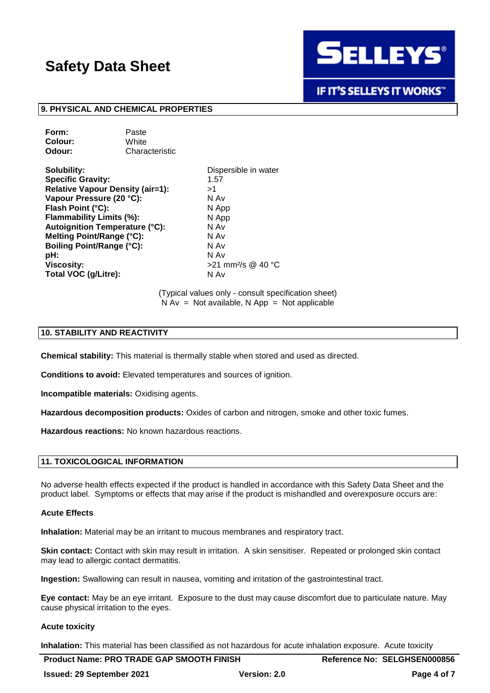

**IF IT'S SELLEYS IT WORKS"** 

#### **9. PHYSICAL AND CHEMICAL PROPERTIES**

| Paste          |
|----------------|
| White          |
| Characteristic |
|                |

**Solubility:** Dispersible in water **Specific Gravity:** 1.57 **Relative Vapour Density (air=1):** >1 **Vapour Pressure (20 °C):** N Av **Flash Point (°C):** N App **Flammability Limits (%):** N App **Autoignition Temperature (°C):** N Av **Melting Point/Range (°C):** N Av **Boiling Point/Range (°C):** N Av **pH:** N Av **Viscosity:**  $>21$  mm<sup>2</sup>/s @ 40 °C **Total VOC (g/Litre):** N Av

(Typical values only - consult specification sheet)  $N Av = Not available, N App = Not applicable$ 

### **10. STABILITY AND REACTIVITY**

**Chemical stability:** This material is thermally stable when stored and used as directed.

**Conditions to avoid:** Elevated temperatures and sources of ignition.

**Incompatible materials:** Oxidising agents.

**Hazardous decomposition products:** Oxides of carbon and nitrogen, smoke and other toxic fumes.

**Hazardous reactions:** No known hazardous reactions.

#### **11. TOXICOLOGICAL INFORMATION**

No adverse health effects expected if the product is handled in accordance with this Safety Data Sheet and the product label. Symptoms or effects that may arise if the product is mishandled and overexposure occurs are:

#### **Acute Effects**

**Inhalation:** Material may be an irritant to mucous membranes and respiratory tract.

**Skin contact:** Contact with skin may result in irritation. A skin sensitiser. Repeated or prolonged skin contact may lead to allergic contact dermatitis.

**Ingestion:** Swallowing can result in nausea, vomiting and irritation of the gastrointestinal tract.

**Eye contact:** May be an eye irritant. Exposure to the dust may cause discomfort due to particulate nature. May cause physical irritation to the eyes.

#### **Acute toxicity**

**Inhalation:** This material has been classified as not hazardous for acute inhalation exposure. Acute toxicity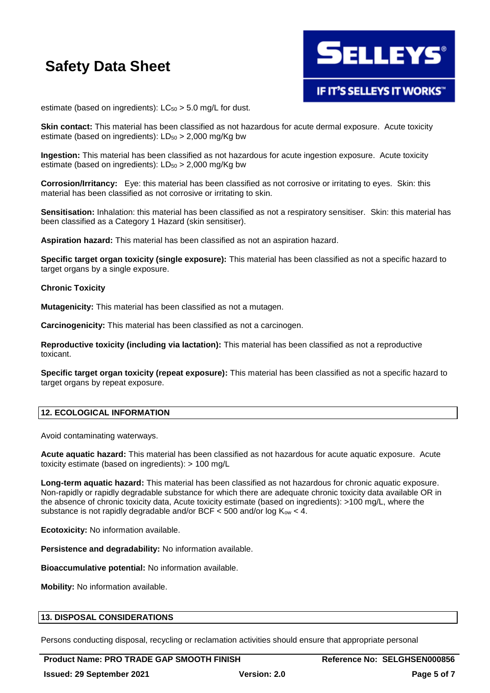

estimate (based on ingredients):  $LC_{50} > 5.0$  mg/L for dust.

**Skin contact:** This material has been classified as not hazardous for acute dermal exposure. Acute toxicity estimate (based on ingredients):  $LD_{50} > 2,000$  mg/Kg bw

**Ingestion:** This material has been classified as not hazardous for acute ingestion exposure. Acute toxicity estimate (based on ingredients):  $LD_{50} > 2,000$  mg/Kg bw

**Corrosion/Irritancy:** Eye: this material has been classified as not corrosive or irritating to eyes. Skin: this material has been classified as not corrosive or irritating to skin.

**Sensitisation:** Inhalation: this material has been classified as not a respiratory sensitiser. Skin: this material has been classified as a Category 1 Hazard (skin sensitiser).

**Aspiration hazard:** This material has been classified as not an aspiration hazard.

**Specific target organ toxicity (single exposure):** This material has been classified as not a specific hazard to target organs by a single exposure.

#### **Chronic Toxicity**

**Mutagenicity:** This material has been classified as not a mutagen.

**Carcinogenicity:** This material has been classified as not a carcinogen.

**Reproductive toxicity (including via lactation):** This material has been classified as not a reproductive toxicant.

**Specific target organ toxicity (repeat exposure):** This material has been classified as not a specific hazard to target organs by repeat exposure.

# **12. ECOLOGICAL INFORMATION**

Avoid contaminating waterways.

**Acute aquatic hazard:** This material has been classified as not hazardous for acute aquatic exposure. Acute toxicity estimate (based on ingredients): > 100 mg/L

**Long-term aquatic hazard:** This material has been classified as not hazardous for chronic aquatic exposure. Non-rapidly or rapidly degradable substance for which there are adequate chronic toxicity data available OR in the absence of chronic toxicity data, Acute toxicity estimate (based on ingredients): >100 mg/L, where the substance is not rapidly degradable and/or BCF  $\lt$  500 and/or log K<sub>ow</sub>  $\lt$  4.

**Ecotoxicity:** No information available.

**Persistence and degradability:** No information available.

**Bioaccumulative potential:** No information available.

**Mobility:** No information available.

#### **13. DISPOSAL CONSIDERATIONS**

Persons conducting disposal, recycling or reclamation activities should ensure that appropriate personal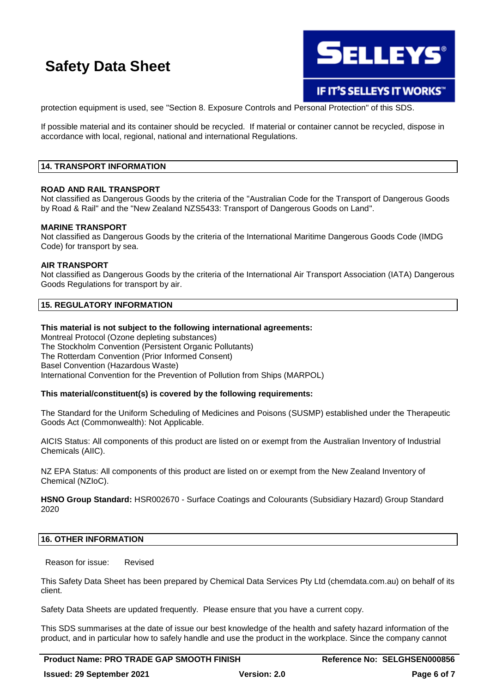

IF IT'S SELLEYS IT WORKS"

protection equipment is used, see "Section 8. Exposure Controls and Personal Protection" of this SDS.

If possible material and its container should be recycled. If material or container cannot be recycled, dispose in accordance with local, regional, national and international Regulations.

# **14. TRANSPORT INFORMATION**

#### **ROAD AND RAIL TRANSPORT**

Not classified as Dangerous Goods by the criteria of the "Australian Code for the Transport of Dangerous Goods by Road & Rail" and the "New Zealand NZS5433: Transport of Dangerous Goods on Land".

#### **MARINE TRANSPORT**

Not classified as Dangerous Goods by the criteria of the International Maritime Dangerous Goods Code (IMDG Code) for transport by sea.

#### **AIR TRANSPORT**

Not classified as Dangerous Goods by the criteria of the International Air Transport Association (IATA) Dangerous Goods Regulations for transport by air.

# **15. REGULATORY INFORMATION**

#### **This material is not subject to the following international agreements:**

Montreal Protocol (Ozone depleting substances) The Stockholm Convention (Persistent Organic Pollutants) The Rotterdam Convention (Prior Informed Consent) Basel Convention (Hazardous Waste) International Convention for the Prevention of Pollution from Ships (MARPOL)

# **This material/constituent(s) is covered by the following requirements:**

The Standard for the Uniform Scheduling of Medicines and Poisons (SUSMP) established under the Therapeutic Goods Act (Commonwealth): Not Applicable.

AICIS Status: All components of this product are listed on or exempt from the Australian Inventory of Industrial Chemicals (AIIC).

NZ EPA Status: All components of this product are listed on or exempt from the New Zealand Inventory of Chemical (NZIoC).

**HSNO Group Standard:** HSR002670 - Surface Coatings and Colourants (Subsidiary Hazard) Group Standard 2020

#### **16. OTHER INFORMATION**

Reason for issue: Revised

This Safety Data Sheet has been prepared by Chemical Data Services Pty Ltd (chemdata.com.au) on behalf of its client.

Safety Data Sheets are updated frequently. Please ensure that you have a current copy.

This SDS summarises at the date of issue our best knowledge of the health and safety hazard information of the product, and in particular how to safely handle and use the product in the workplace. Since the company cannot